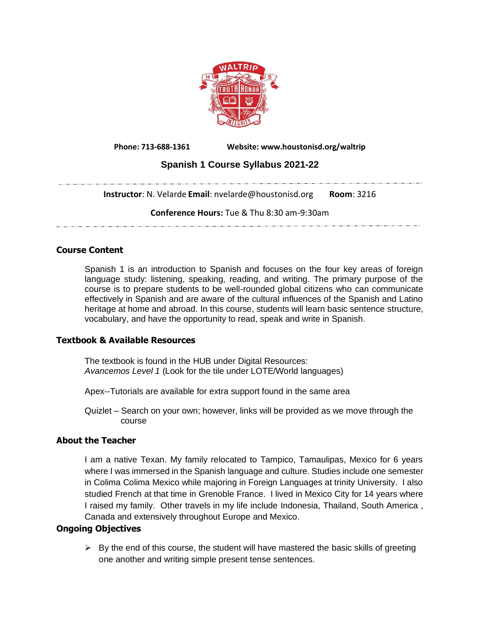

**Phone: 713-688-1361 Website: www.houstonisd.org/waltrip**

# **Spanish 1 Course Syllabus 2021-22**

**Instructor**: N. Velarde **Email**: nvelarde@houstonisd.org **Room**: 3216

#### **Conference Hours:** Tue & Thu 8:30 am-9:30am

### **Course Content**

Spanish 1 is an introduction to Spanish and focuses on the four key areas of foreign language study: listening, speaking, reading, and writing. The primary purpose of the course is to prepare students to be well-rounded global citizens who can communicate effectively in Spanish and are aware of the cultural influences of the Spanish and Latino heritage at home and abroad. In this course, students will learn basic sentence structure, vocabulary, and have the opportunity to read, speak and write in Spanish.

#### **Textbook & Available Resources**

The textbook is found in the HUB under Digital Resources: *Avancemos Level 1* (Look for the tile under LOTE/World languages)

Apex--Tutorials are available for extra support found in the same area

Quizlet – Search on your own; however, links will be provided as we move through the course

# **About the Teacher**

I am a native Texan. My family relocated to Tampico, Tamaulipas, Mexico for 6 years where I was immersed in the Spanish language and culture. Studies include one semester in Colima Colima Mexico while majoring in Foreign Languages at trinity University. I also studied French at that time in Grenoble France. I lived in Mexico City for 14 years where I raised my family. Other travels in my life include Indonesia, Thailand, South America , Canada and extensively throughout Europe and Mexico.

# **Ongoing Objectives**

 $\triangleright$  By the end of this course, the student will have mastered the basic skills of greeting one another and writing simple present tense sentences.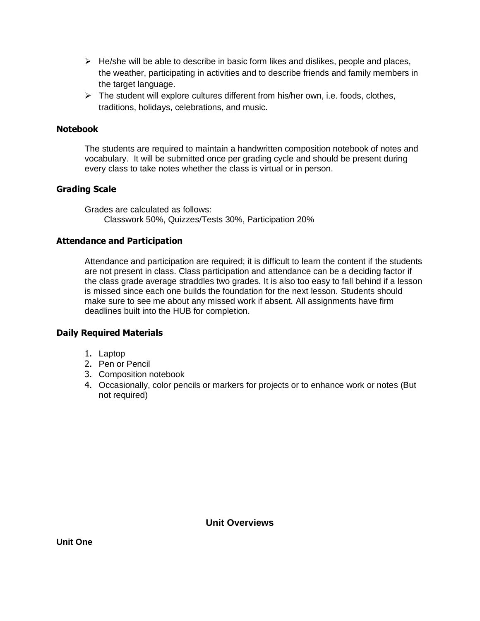- $\triangleright$  He/she will be able to describe in basic form likes and dislikes, people and places, the weather, participating in activities and to describe friends and family members in the target language.
- $\triangleright$  The student will explore cultures different from his/her own, i.e. foods, clothes, traditions, holidays, celebrations, and music.

## **Notebook**

The students are required to maintain a handwritten composition notebook of notes and vocabulary. It will be submitted once per grading cycle and should be present during every class to take notes whether the class is virtual or in person.

### **Grading Scale**

Grades are calculated as follows: Classwork 50%, Quizzes/Tests 30%, Participation 20%

### **Attendance and Participation**

Attendance and participation are required; it is difficult to learn the content if the students are not present in class. Class participation and attendance can be a deciding factor if the class grade average straddles two grades. It is also too easy to fall behind if a lesson is missed since each one builds the foundation for the next lesson. Students should make sure to see me about any missed work if absent. All assignments have firm deadlines built into the HUB for completion.

#### **Daily Required Materials**

- 1. Laptop
- 2. Pen or Pencil
- 3. Composition notebook
- 4. Occasionally, color pencils or markers for projects or to enhance work or notes (But not required)

**Unit Overviews**